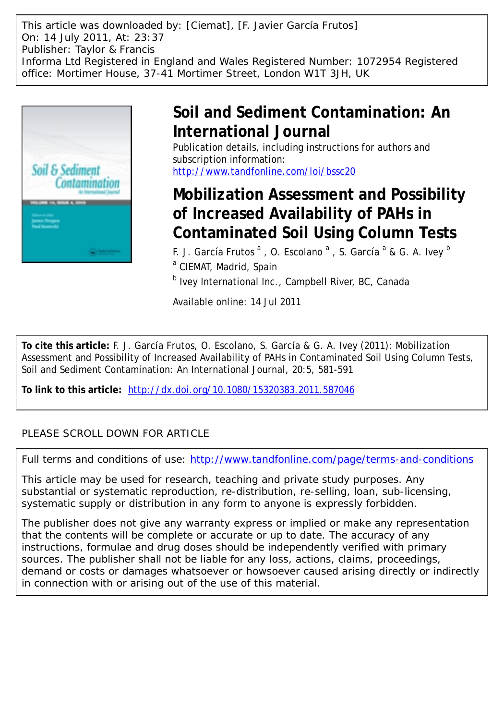This article was downloaded by: [Ciemat], [F. Javier García Frutos] On: 14 July 2011, At: 23:37 Publisher: Taylor & Francis Informa Ltd Registered in England and Wales Registered Number: 1072954 Registered office: Mortimer House, 37-41 Mortimer Street, London W1T 3JH, UK



# **Soil and Sediment Contamination: An International Journal**

Publication details, including instructions for authors and subscription information: <http://www.tandfonline.com/loi/bssc20>

# **Mobilization Assessment and Possibility of Increased Availability of PAHs in Contaminated Soil Using Column Tests**

F. J. García Frutos <sup>a</sup>, O. Escolano <sup>a</sup>, S. García <sup>a</sup> & G. A. Ivey <sup>b</sup> <sup>a</sup> CIEMAT, Madrid, Spain

<sup>b</sup> Ivey International Inc., Campbell River, BC, Canada

Available online: 14 Jul 2011

**To cite this article:** F. J. García Frutos, O. Escolano, S. García & G. A. Ivey (2011): Mobilization Assessment and Possibility of Increased Availability of PAHs in Contaminated Soil Using Column Tests, Soil and Sediment Contamination: An International Journal, 20:5, 581-591

**To link to this article:** <http://dx.doi.org/10.1080/15320383.2011.587046>

### PLEASE SCROLL DOWN FOR ARTICLE

Full terms and conditions of use:<http://www.tandfonline.com/page/terms-and-conditions>

This article may be used for research, teaching and private study purposes. Any substantial or systematic reproduction, re-distribution, re-selling, loan, sub-licensing, systematic supply or distribution in any form to anyone is expressly forbidden.

The publisher does not give any warranty express or implied or make any representation that the contents will be complete or accurate or up to date. The accuracy of any instructions, formulae and drug doses should be independently verified with primary sources. The publisher shall not be liable for any loss, actions, claims, proceedings, demand or costs or damages whatsoever or howsoever caused arising directly or indirectly in connection with or arising out of the use of this material.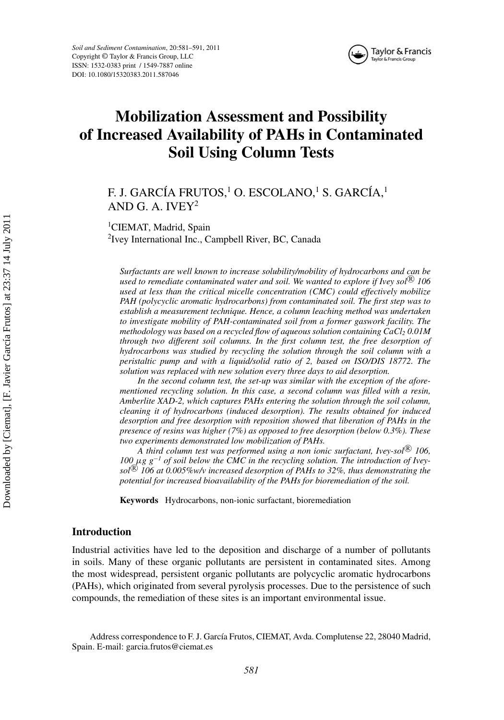



## **Mobilization Assessment and Possibility of Increased Availability of PAHs in Contaminated Soil Using Column Tests**

### F. J. GARCÍA FRUTOS,<sup>1</sup> O. ESCOLANO,<sup>1</sup> S. GARCÍA,<sup>1</sup> AND G. A. IVEY $2$

<sup>1</sup>CIEMAT, Madrid, Spain

<sup>2</sup>Ivey International Inc., Campbell River, BC, Canada

*Surfactants are well known to increase solubility/mobility of hydrocarbons and can be used to remediate contaminated water and soil. We wanted to explore if Ivey sol*<sup> $\&$ </sup> 106 *used at less than the critical micelle concentration (CMC) could effectively mobilize PAH (polycyclic aromatic hydrocarbons) from contaminated soil. The first step was to establish a measurement technique. Hence, a column leaching method was undertaken to investigate mobility of PAH-contaminated soil from a former gaswork facility. The methodology was based on a recycled flow of aqueous solution containing CaCl<sub>2</sub> 0.01M through two different soil columns. In the first column test, the free desorption of hydrocarbons was studied by recycling the solution through the soil column with a peristaltic pump and with a liquid/solid ratio of 2, based on ISO/DIS 18772. The solution was replaced with new solution every three days to aid desorption.*

*In the second column test, the set-up was similar with the exception of the aforementioned recycling solution. In this case, a second column was filled with a resin, Amberlite XAD-2, which captures PAHs entering the solution through the soil column, cleaning it of hydrocarbons (induced desorption). The results obtained for induced desorption and free desorption with reposition showed that liberation of PAHs in the presence of resins was higher (7%) as opposed to free desorption (below 0.3%). These two experiments demonstrated low mobilization of PAHs.*

*A third column test was performed using a non ionic surfactant, Ivey-sol*<sup>(8)</sup> 106, *100* µ*g g*−*<sup>1</sup> of soil below the CMC in the recycling solution. The introduction of Iveysol*<sup>(8)</sup> 106 at 0.005%w/v increased desorption of PAHs to 32%, thus demonstrating the *potential for increased bioavailability of the PAHs for bioremediation of the soil.*

**Keywords** Hydrocarbons, non-ionic surfactant, bioremediation

#### **Introduction**

Industrial activities have led to the deposition and discharge of a number of pollutants in soils. Many of these organic pollutants are persistent in contaminated sites. Among the most widespread, persistent organic pollutants are polycyclic aromatic hydrocarbons (PAHs), which originated from several pyrolysis processes. Due to the persistence of such compounds, the remediation of these sites is an important environmental issue.

Address correspondence to F. J. García Frutos, CIEMAT, Avda. Complutense 22, 28040 Madrid, Spain. E-mail: garcia.frutos@ciemat.es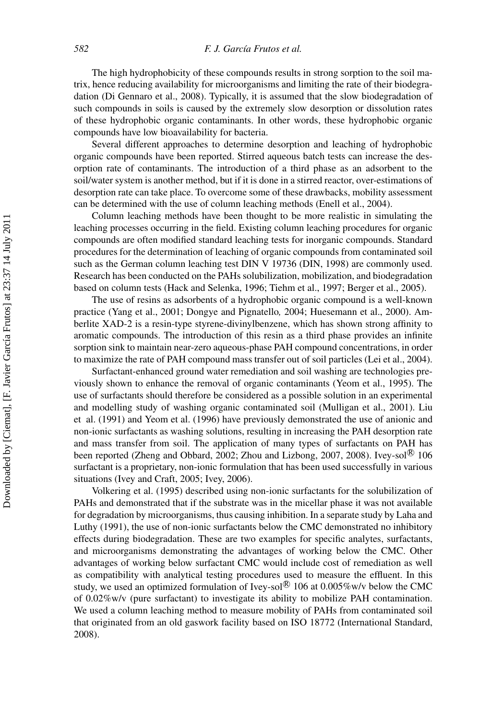The high hydrophobicity of these compounds results in strong sorption to the soil matrix, hence reducing availability for microorganisms and limiting the rate of their biodegradation (Di Gennaro et al., 2008). Typically, it is assumed that the slow biodegradation of such compounds in soils is caused by the extremely slow desorption or dissolution rates of these hydrophobic organic contaminants. In other words, these hydrophobic organic compounds have low bioavailability for bacteria.

Several different approaches to determine desorption and leaching of hydrophobic organic compounds have been reported. Stirred aqueous batch tests can increase the desorption rate of contaminants. The introduction of a third phase as an adsorbent to the soil/water system is another method, but if it is done in a stirred reactor, over-estimations of desorption rate can take place. To overcome some of these drawbacks, mobility assessment can be determined with the use of column leaching methods (Enell et al., 2004).

Column leaching methods have been thought to be more realistic in simulating the leaching processes occurring in the field. Existing column leaching procedures for organic compounds are often modified standard leaching tests for inorganic compounds. Standard procedures for the determination of leaching of organic compounds from contaminated soil such as the German column leaching test DIN V 19736 (DIN, 1998) are commonly used. Research has been conducted on the PAHs solubilization, mobilization, and biodegradation based on column tests (Hack and Selenka, 1996; Tiehm et al., 1997; Berger et al., 2005).

The use of resins as adsorbents of a hydrophobic organic compound is a well-known practice (Yang et al., 2001; Dongye and Pignatello*,* 2004; Huesemann et al., 2000). Amberlite XAD-2 is a resin-type styrene-divinylbenzene, which has shown strong affinity to aromatic compounds. The introduction of this resin as a third phase provides an infinite sorption sink to maintain near-zero aqueous-phase PAH compound concentrations, in order to maximize the rate of PAH compound mass transfer out of soil particles (Lei et al., 2004).

Surfactant-enhanced ground water remediation and soil washing are technologies previously shown to enhance the removal of organic contaminants (Yeom et al., 1995). The use of surfactants should therefore be considered as a possible solution in an experimental and modelling study of washing organic contaminated soil (Mulligan et al., 2001). Liu et al. (1991) and Yeom et al. (1996) have previously demonstrated the use of anionic and non-ionic surfactants as washing solutions, resulting in increasing the PAH desorption rate and mass transfer from soil. The application of many types of surfactants on PAH has been reported (Zheng and Obbard, 2002; Zhou and Lizbong, 2007, 2008). Ivey-sol $\mathbb{R}$  106 surfactant is a proprietary, non-ionic formulation that has been used successfully in various situations (Ivey and Craft, 2005; Ivey, 2006).

Volkering et al. (1995) described using non-ionic surfactants for the solubilization of PAHs and demonstrated that if the substrate was in the micellar phase it was not available for degradation by microorganisms, thus causing inhibition. In a separate study by Laha and Luthy (1991), the use of non-ionic surfactants below the CMC demonstrated no inhibitory effects during biodegradation. These are two examples for specific analytes, surfactants, and microorganisms demonstrating the advantages of working below the CMC. Other advantages of working below surfactant CMC would include cost of remediation as well as compatibility with analytical testing procedures used to measure the effluent. In this study, we used an optimized formulation of Ivey-sol<sup>®</sup> 106 at 0.005%w/v below the CMC of 0.02%w/v (pure surfactant) to investigate its ability to mobilize PAH contamination. We used a column leaching method to measure mobility of PAHs from contaminated soil that originated from an old gaswork facility based on ISO 18772 (International Standard, 2008).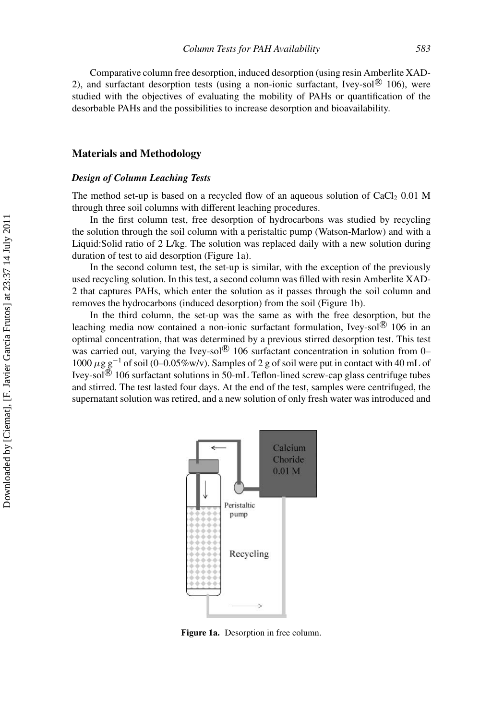Comparative column free desorption, induced desorption (using resin Amberlite XAD-2), and surfactant desorption tests (using a non-ionic surfactant, Ivey-sol $\mathbb{R}$  106), were studied with the objectives of evaluating the mobility of PAHs or quantification of the desorbable PAHs and the possibilities to increase desorption and bioavailability.

#### **Materials and Methodology**

#### *Design of Column Leaching Tests*

The method set-up is based on a recycled flow of an aqueous solution of  $CaCl<sub>2</sub> 0.01 M$ through three soil columns with different leaching procedures.

In the first column test, free desorption of hydrocarbons was studied by recycling the solution through the soil column with a peristaltic pump (Watson-Marlow) and with a Liquid:Solid ratio of 2 L/kg. The solution was replaced daily with a new solution during duration of test to aid desorption (Figure 1a).

In the second column test, the set-up is similar, with the exception of the previously used recycling solution. In this test, a second column was filled with resin Amberlite XAD-2 that captures PAHs, which enter the solution as it passes through the soil column and removes the hydrocarbons (induced desorption) from the soil (Figure 1b).

In the third column, the set-up was the same as with the free desorption, but the leaching media now contained a non-ionic surfactant formulation, Ivey-sol $\circledR$  106 in an optimal concentration, that was determined by a previous stirred desorption test. This test was carried out, varying the Ivey-sol $\mathcal{B}$  106 surfactant concentration in solution from 0– 1000  $\mu$ g g<sup>-1</sup> of soil (0–0.05%w/v). Samples of 2 g of soil were put in contact with 40 mL of Ivey-sol $\mathbb{R}$  106 surfactant solutions in 50-mL Teflon-lined screw-cap glass centrifuge tubes and stirred. The test lasted four days. At the end of the test, samples were centrifuged, the supernatant solution was retired, and a new solution of only fresh water was introduced and



**Figure 1a.** Desorption in free column.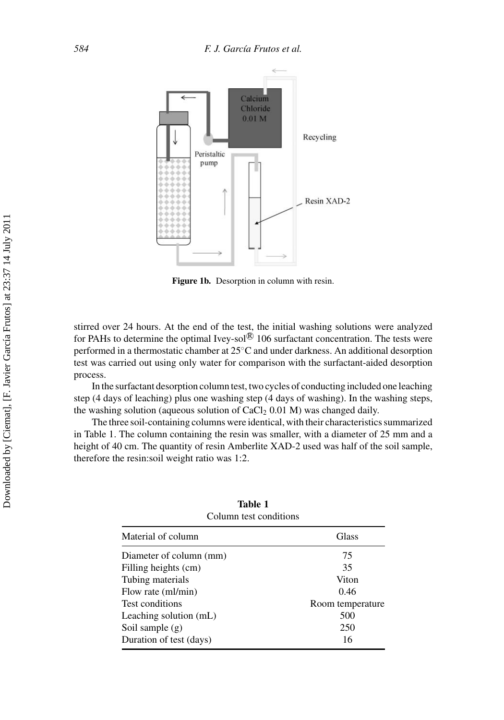

**Figure 1b.** Desorption in column with resin.

stirred over 24 hours. At the end of the test, the initial washing solutions were analyzed for PAHs to determine the optimal Ivey-sol $\overline{R}$  106 surfactant concentration. The tests were performed in a thermostatic chamber at 25◦C and under darkness. An additional desorption test was carried out using only water for comparison with the surfactant-aided desorption process.

In the surfactant desorption column test, two cycles of conducting included one leaching step (4 days of leaching) plus one washing step (4 days of washing). In the washing steps, the washing solution (aqueous solution of  $CaCl<sub>2</sub> 0.01 M$ ) was changed daily.

The three soil-containing columns were identical, with their characteristics summarized in Table 1. The column containing the resin was smaller, with a diameter of 25 mm and a height of 40 cm. The quantity of resin Amberlite XAD-2 used was half of the soil sample, therefore the resin:soil weight ratio was 1:2.

| Material of column      | Glass            |
|-------------------------|------------------|
| Diameter of column (mm) | 75               |
| Filling heights (cm)    | 35               |
| Tubing materials        | Viton            |
| Flow rate (ml/min)      | 0.46             |
| Test conditions         | Room temperature |
| Leaching solution (mL)  | 500              |
| Soil sample $(g)$       | 250              |
| Duration of test (days) | 16               |

| Table 1                |
|------------------------|
| Column test conditions |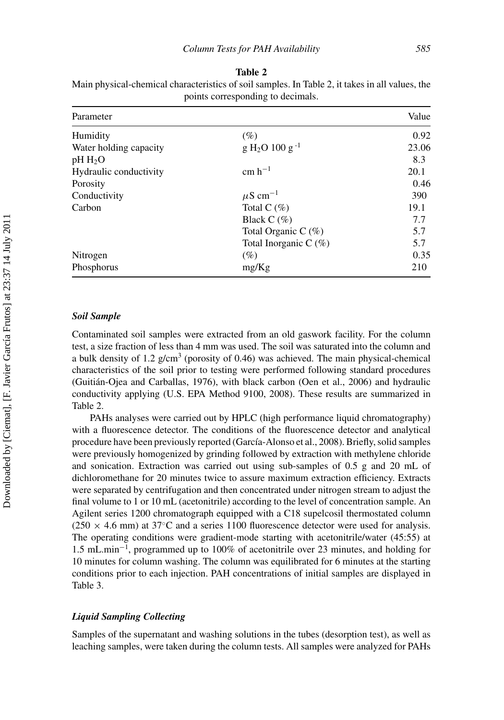| Parameter              |                          | Value |
|------------------------|--------------------------|-------|
| Humidity               | $(\%)$                   | 0.92  |
| Water holding capacity | $g H2O 100 g-1$          | 23.06 |
| $pH H_2O$              |                          | 8.3   |
| Hydraulic conductivity | $cm h^{-1}$              | 20.1  |
| Porosity               |                          | 0.46  |
| Conductivity           | $\mu$ S cm <sup>-1</sup> | 390   |
| Carbon                 | Total C $(\%)$           | 19.1  |
|                        | Black $C(\%)$            | 7.7   |
|                        | Total Organic C $(\%)$   | 5.7   |
|                        | Total Inorganic C $(\%)$ | 5.7   |
| Nitrogen               | $(\%)$                   | 0.35  |
| Phosphorus             | mg/Kg                    | 210   |

**Table 2** Main physical-chemical characteristics of soil samples. In Table 2, it takes in all values, the points corresponding to decimals.

#### *Soil Sample*

Contaminated soil samples were extracted from an old gaswork facility. For the column test, a size fraction of less than 4 mm was used. The soil was saturated into the column and a bulk density of 1.2  $g/cm<sup>3</sup>$  (porosity of 0.46) was achieved. The main physical-chemical characteristics of the soil prior to testing were performed following standard procedures (Guitian-Ojea and Carballas, 1976), with black carbon (Oen et al., 2006) and hydraulic ´ conductivity applying (U.S. EPA Method 9100, 2008). These results are summarized in Table 2.

PAHs analyses were carried out by HPLC (high performance liquid chromatography) with a fluorescence detector. The conditions of the fluorescence detector and analytical procedure have been previously reported (García-Alonso et al., 2008). Briefly, solid samples were previously homogenized by grinding followed by extraction with methylene chloride and sonication. Extraction was carried out using sub-samples of 0.5 g and 20 mL of dichloromethane for 20 minutes twice to assure maximum extraction efficiency. Extracts were separated by centrifugation and then concentrated under nitrogen stream to adjust the final volume to 1 or 10 mL (acetonitrile) according to the level of concentration sample. An Agilent series 1200 chromatograph equipped with a C18 supelcosil thermostated column (250  $\times$  4.6 mm) at 37°C and a series 1100 fluorescence detector were used for analysis. The operating conditions were gradient-mode starting with acetonitrile/water (45:55) at 1.5 mL.min−<sup>1</sup> , programmed up to 100% of acetonitrile over 23 minutes, and holding for 10 minutes for column washing. The column was equilibrated for 6 minutes at the starting conditions prior to each injection. PAH concentrations of initial samples are displayed in Table 3.

#### *Liquid Sampling Collecting*

Samples of the supernatant and washing solutions in the tubes (desorption test), as well as leaching samples, were taken during the column tests. All samples were analyzed for PAHs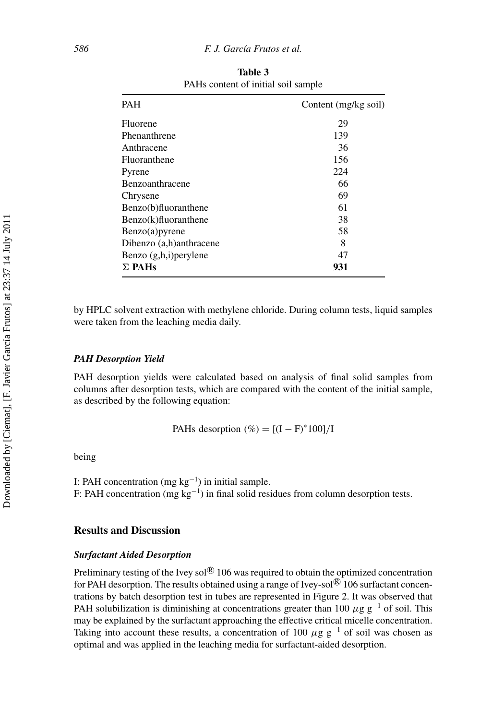| <b>PAH</b>               | Content (mg/kg soil) |
|--------------------------|----------------------|
| Fluorene                 | 29                   |
| Phenanthrene             | 139                  |
| Anthracene               | 36                   |
| Fluoranthene             | 156                  |
| Pyrene                   | 224                  |
| Benzoanthracene          | 66                   |
| Chrysene                 | 69                   |
| Benzo(b)fluoranthene     | 61                   |
| $Benzo(k)$ fluoranthene  | 38                   |
| $Benzo(a)$ pyrene        | 58                   |
| Dibenzo (a,h)anthracene  | 8                    |
| Benzo $(g,h,i)$ perylene | 47                   |
| $\Sigma$ PAHs            | 931                  |

**Table 3** PAHs content of initial soil sample

by HPLC solvent extraction with methylene chloride. During column tests, liquid samples were taken from the leaching media daily.

#### *PAH Desorption Yield*

PAH desorption yields were calculated based on analysis of final solid samples from columns after desorption tests, which are compared with the content of the initial sample, as described by the following equation:

PAHs desorption  $(\%) = [(I - F)^* 100]/I$ 

being

I: PAH concentration (mg  $kg^{-1}$ ) in initial sample. F: PAH concentration (mg  $kg^{-1}$ ) in final solid residues from column desorption tests.

#### **Results and Discussion**

#### *Surfactant Aided Desorption*

Preliminary testing of the Ivey sol $\mathbb{R}$  106 was required to obtain the optimized concentration for PAH desorption. The results obtained using a range of Ivey-sol $\mathbb{R}$  106 surfactant concentrations by batch desorption test in tubes are represented in Figure 2. It was observed that PAH solubilization is diminishing at concentrations greater than 100  $\mu$ g g<sup>-1</sup> of soil. This may be explained by the surfactant approaching the effective critical micelle concentration. Taking into account these results, a concentration of 100  $\mu$ g g<sup>-1</sup> of soil was chosen as optimal and was applied in the leaching media for surfactant-aided desorption.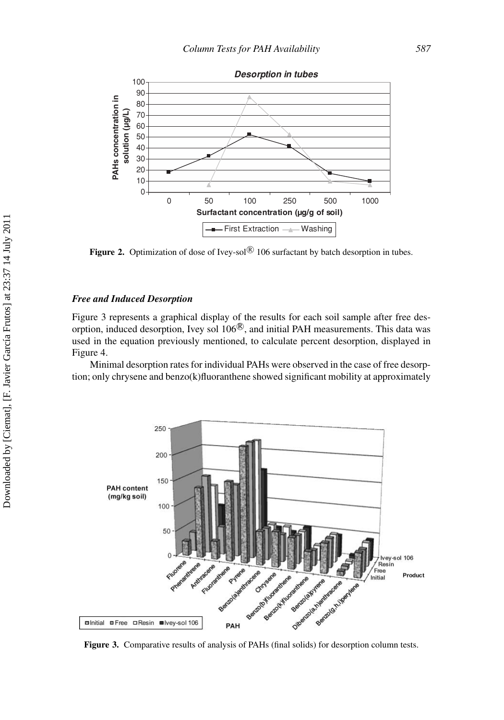

Figure 2. Optimization of dose of Ivey-sol<sup>®</sup> 106 surfactant by batch desorption in tubes.

#### *Free and Induced Desorption*

Figure 3 represents a graphical display of the results for each soil sample after free desorption, induced desorption, Ivey sol  $106^\circledR$ , and initial PAH measurements. This data was used in the equation previously mentioned, to calculate percent desorption, displayed in Figure 4.

Minimal desorption rates for individual PAHs were observed in the case of free desorption; only chrysene and benzo(k)fluoranthene showed significant mobility at approximately



**Figure 3.** Comparative results of analysis of PAHs (final solids) for desorption column tests.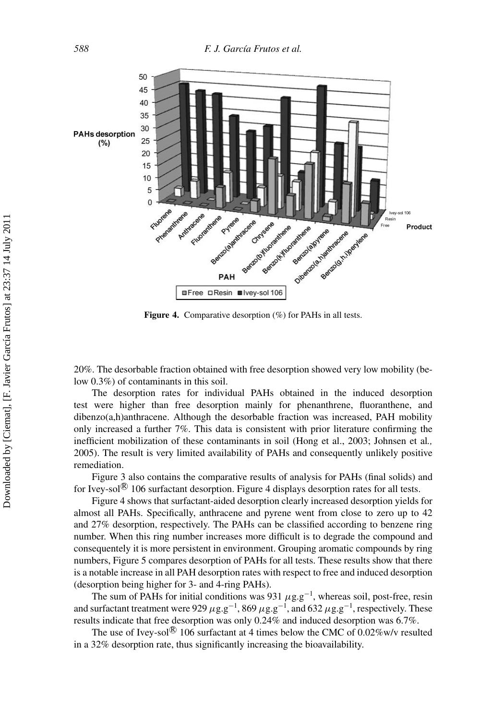

Figure 4. Comparative desorption (%) for PAHs in all tests.

20%. The desorbable fraction obtained with free desorption showed very low mobility (below 0.3%) of contaminants in this soil.

The desorption rates for individual PAHs obtained in the induced desorption test were higher than free desorption mainly for phenanthrene, fluoranthene, and dibenzo(a,h)anthracene. Although the desorbable fraction was increased, PAH mobility only increased a further 7%. This data is consistent with prior literature confirming the inefficient mobilization of these contaminants in soil (Hong et al., 2003; Johnsen et al*.,* 2005). The result is very limited availability of PAHs and consequently unlikely positive remediation.

Figure 3 also contains the comparative results of analysis for PAHs (final solids) and for Ivey-sol $\mathcal{B}$  106 surfactant desorption. Figure 4 displays desorption rates for all tests.

Figure 4 shows that surfactant-aided desorption clearly increased desorption yields for almost all PAHs. Specifically, anthracene and pyrene went from close to zero up to 42 and 27% desorption, respectively. The PAHs can be classified according to benzene ring number. When this ring number increases more difficult is to degrade the compound and consequentely it is more persistent in environment. Grouping aromatic compounds by ring numbers, Figure 5 compares desorption of PAHs for all tests. These results show that there is a notable increase in all PAH desorption rates with respect to free and induced desorption (desorption being higher for 3- and 4-ring PAHs).

The sum of PAHs for initial conditions was 931  $\mu$ g.g<sup>-1</sup>, whereas soil, post-free, resin and surfactant treatment were 929  $\mu$ g.g<sup>−1</sup>, 869  $\mu$ g.g<sup>−1</sup>, and 632  $\mu$ g.g<sup>−1</sup>, respectively. These results indicate that free desorption was only 0.24% and induced desorption was 6.7%.

The use of Ivey-sol $\mathbb{R}$  106 surfactant at 4 times below the CMC of 0.02%w/v resulted in a 32% desorption rate, thus significantly increasing the bioavailability.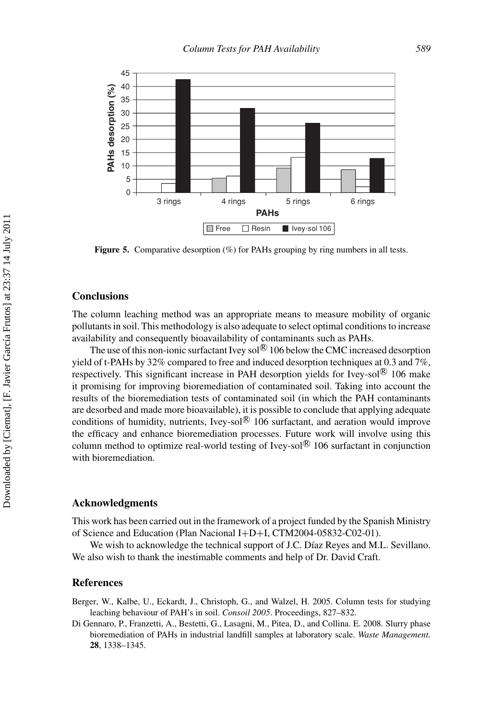

**Figure 5.** Comparative desorption (%) for PAHs grouping by ring numbers in all tests.

#### **Conclusions**

The column leaching method was an appropriate means to measure mobility of organic pollutants in soil. This methodology is also adequate to select optimal conditions to increase availability and consequently bioavailability of contaminants such as PAHs.

The use of this non-ionic surfactant Ivey sol $\mathbb{R}$  106 below the CMC increased desorption yield of t-PAHs by 32% compared to free and induced desorption techniques at 0.3 and  $7\%$ . respectively. This significant increase in PAH desorption yields for Ivey-sol $\textcircled{8}$  106 make it promising for improving bioremediation of contaminated soil. Taking into account the results of the bioremediation tests of contaminated soil (in which the PAH contaminants are desorbed and made more bioavailable), it is possible to conclude that applying adequate conditions of humidity, nutrients, Ivey-sol $\mathcal{B}$  106 surfactant, and aeration would improve the efficacy and enhance bioremediation processes. Future work will involve using this column method to optimize real-world testing of Ivey-sol $\mathbb{R}$  106 surfactant in conjunction with bioremediation.

#### **Acknowledgments**

This work has been carried out in the framework of a project funded by the Spanish Ministry of Science and Education (Plan Nacional I+D+I, CTM2004-05832-C02-01).

We wish to acknowledge the technical support of J.C. Díaz Reyes and M.L. Sevillano. We also wish to thank the inestimable comments and help of Dr. David Craft.

#### **References**

Berger, W., Kalbe, U., Eckardt, J., Christoph, G., and Walzel, H. 2005. Column tests for studying leaching behaviour of PAH's in soil. *Consoil 2005*. Proceedings, 827–832.

Di Gennaro, P., Franzetti, A., Bestetti, G., Lasagni, M., Pitea, D., and Collina. E. 2008. Slurry phase bioremediation of PAHs in industrial landfill samples at laboratory scale. *Waste Management.* **28**, 1338–1345.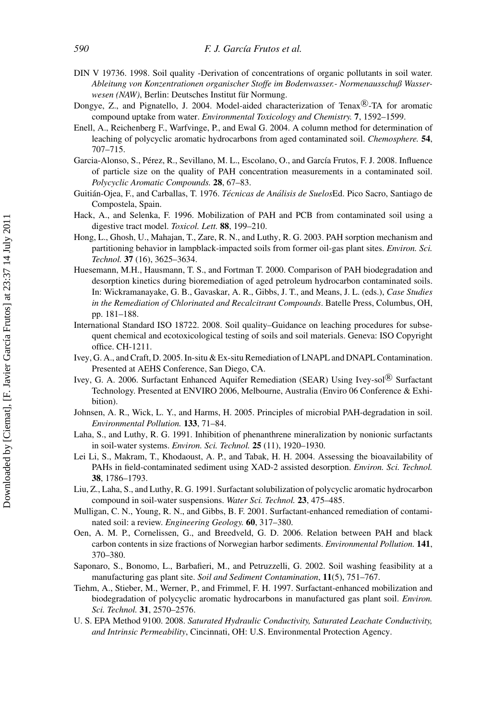- DIN V 19736. 1998. Soil quality -Derivation of concentrations of organic pollutants in soil water. *Ableitung von Konzentrationen organischer Stoffe im Bodenwasser.- Normenausschuß Wasserwesen (NAW)*, Berlin: Deutsches Institut für Normung.
- Dongye, Z., and Pignatello, J. 2004. Model-aided characterization of Tenax<sup>®</sup>-TA for aromatic compound uptake from water. *Environmental Toxicology and Chemistry.* **7**, 1592–1599.
- Enell, A., Reichenberg F., Warfvinge, P., and Ewal G. 2004. A column method for determination of leaching of polycyclic aromatic hydrocarbons from aged contaminated soil. *Chemosphere.* **54**, 707–715.
- Garcia-Alonso, S., Pérez, R., Sevillano, M. L., Escolano, O., and García Frutos, F. J. 2008. Influence of particle size on the quality of PAH concentration measurements in a contaminated soil. *Polycyclic Aromatic Compounds.* **28**, 67–83.
- Guitian-Ojea, F., and Carballas, T. 1976. ´ *Tecnicas de An ´ alisis de Suelos ´* Ed. Pico Sacro, Santiago de Compostela, Spain.
- Hack, A., and Selenka, F. 1996. Mobilization of PAH and PCB from contaminated soil using a digestive tract model. *Toxicol. Lett.* **88**, 199–210.
- Hong, L., Ghosh, U., Mahajan, T., Zare, R. N., and Luthy, R. G. 2003. PAH sorption mechanism and partitioning behavior in lampblack-impacted soils from former oil-gas plant sites. *Environ. Sci. Technol.* **37** (16), 3625–3634.
- Huesemann, M.H., Hausmann, T. S., and Fortman T. 2000. Comparison of PAH biodegradation and desorption kinetics during bioremediation of aged petroleum hydrocarbon contaminated soils. In: Wickramanayake, G. B., Gavaskar, A. R., Gibbs, J. T., and Means, J. L. (eds.), *Case Studies in the Remediation of Chlorinated and Recalcitrant Compounds*. Batelle Press, Columbus, OH, pp. 181–188.
- International Standard ISO 18722. 2008. Soil quality–Guidance on leaching procedures for subsequent chemical and ecotoxicological testing of soils and soil materials. Geneva: ISO Copyright office. CH-1211.
- Ivey, G. A., and Craft, D. 2005. In-situ & Ex-situ Remediation of LNAPL and DNAPL Contamination. Presented at AEHS Conference, San Diego, CA.
- Ivey, G. A. 2006. Surfactant Enhanced Aquifer Remediation (SEAR) Using Ivey-sol<sup>®</sup> Surfactant Technology. Presented at ENVIRO 2006, Melbourne, Australia (Enviro 06 Conference & Exhibition).
- Johnsen, A. R., Wick, L. Y., and Harms, H. 2005. Principles of microbial PAH-degradation in soil. *Environmental Pollution.* **133**, 71–84.
- Laha, S., and Luthy, R. G. 1991. Inhibition of phenanthrene mineralization by nonionic surfactants in soil-water systems. *Environ. Sci. Technol.* **25** (11), 1920–1930.
- Lei Li, S., Makram, T., Khodaoust, A. P., and Tabak, H. H. 2004. Assessing the bioavailability of PAHs in field-contaminated sediment using XAD-2 assisted desorption. *Environ. Sci. Technol.* **38**, 1786–1793.
- Liu, Z., Laha, S., and Luthy, R. G. 1991. Surfactant solubilization of polycyclic aromatic hydrocarbon compound in soil-water suspensions. *Water Sci. Technol.* **23**, 475–485.
- Mulligan, C. N., Young, R. N., and Gibbs, B. F. 2001. Surfactant-enhanced remediation of contaminated soil: a review. *Engineering Geology.* **60**, 317–380.
- Oen, A. M. P., Cornelissen, G., and Breedveld, G. D. 2006. Relation between PAH and black carbon contents in size fractions of Norwegian harbor sediments. *Environmental Pollution.* **141**, 370–380.
- Saponaro, S., Bonomo, L., Barbafieri, M., and Petruzzelli, G. 2002. Soil washing feasibility at a manufacturing gas plant site. *Soil and Sediment Contamination*, **11**(5), 751–767.
- Tiehm, A., Stieber, M., Werner, P., and Frimmel, F. H. 1997. Surfactant-enhanced mobilization and biodegradation of polycyclic aromatic hydrocarbons in manufactured gas plant soil. *Environ. Sci. Technol.* **31**, 2570–2576.
- U. S. EPA Method 9100. 2008. *Saturated Hydraulic Conductivity, Saturated Leachate Conductivity, and Intrinsic Permeability*, Cincinnati, OH: U.S. Environmental Protection Agency.